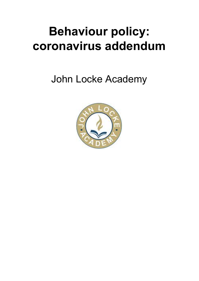# **Behaviour policy: coronavirus addendum**

John Locke Academy

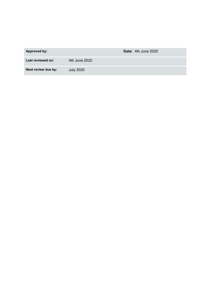| <b>Approved by:</b> | Date: 4th June 2020 |
|---------------------|---------------------|
| Last reviewed on:   | 4th June 2020       |
| Next review due by: | <b>July 2020</b>    |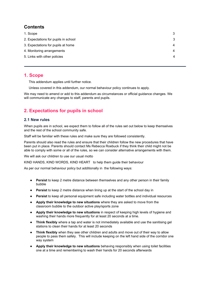# **Contents**

| 1. Scope                             | 3 |
|--------------------------------------|---|
| 2. Expectations for pupils in school | 3 |
| 3. Expectations for pupils at home   | 4 |
| 4. Monitoring arrangements           | 4 |
| 5. Links with other policies         | 4 |
|                                      |   |

# <span id="page-2-0"></span>**1. Scope**

This addendum applies until further notice.

Unless covered in this addendum, our normal behaviour policy continues to apply.

We may need to amend or add to this addendum as circumstances or official guidance changes. We will communicate any changes to staff, parents and pupils.

# <span id="page-2-1"></span>**2. Expectations for pupils in school**

## **2.1 New rules**

When pupils are in school, we expect them to follow all of the rules set out below to keep themselves and the rest of the school community safe.

Staff will be familiar with these rules and make sure they are followed consistently.

Parents should also read the rules and ensure that their children follow the new procedures that have been put in place. Parents should contact Ms Rebecca Roebuck if they think their child might not be able to comply with some or all of the rules, so we can consider alternative arrangements with them.

We will ask our children to use our usual motto

KIND HANDS, KIND WORDS, KIND HEART to help them guide their behaviour

As per our normal behaviour policy but additionally in the following ways:

- **Persist** to keep 2 metre distance between themselves and any other person in their family bubble
- **Persist** to keep 2 metre distance when lining up at the start of the school day in
- **Persist** to keep all personal equipment safe including water bottles and individual resources
- **Apply their knowledge to new situations** where they are asked to move from the classroom bubble to the outdoor active play/sports zone
- **Apply their knowledge to new situations** in respect of keeping high levels of hygiene and washing their hands more frequently for at least 20 seconds at a time.
- **Think flexibly** where a tap and water is not immediately available and use the sanitising gel stations to clean their hands for at least 20 seconds
- **Think flexibly** when they see other children and adults and move out of their way to allow people to pass them safely. This will include keeping on the left hand side of the corridor one way system
- **Apply their knowledge to new situations** behaving responsibly when using toilet facilities one at a time and remembering to wash their hands for 20 seconds afterwards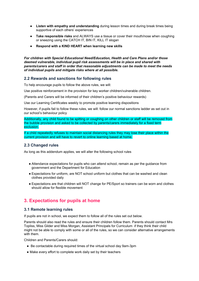- **Listen with empathy and understanding** during lesson times and during break times being supportive of each others' experiences
- **Take responsible risks** and ALWAYS use a tissue or cover their mouth/nose when coughing or sneezing using the CATCH IT, BIN IT, KILL IT slogan
- **Respond with a KIND HEART when learning new skills**

*For children with Special Educational Need/Education, Health and Care Plans and/or those deemed vulnerable, individual pupil risk assessments will be in place and shared with parents/carers and staff in order that reasonable adjustments can be made to meet the needs of individual pupils and mitigate risks where at all possible.*

#### **2.2 Rewards and sanctions for following rules**

To help encourage pupils to follow the above rules, we will:

Use positive reinforcement in the provision for key worker children/vulnerable children.

(Parents and Carers will be informed of their children's positive behaviour rewards)

Use our Learning Certificates weekly to promote positive learning dispositions

However, if pupils fail to follow these rules, we will: follow our normal sanctions ladder as set out in our school's behaviour policy

Additionally, any child found to be spitting or coughing on other children or staff will be removed from the bubble provision and asked to be collected by parents/carers immediately for a fixed term exclusion.

If a child repeatedly refuses to maintain social distancing rules they may lose their place within the current provision and will have to revert to online learning based at home.

#### **2.3 Changed rules**

As long as this addendum applies, we will alter the following school rules

- Attendance expectations for pupils who can attend school, remain as per the guidance from government and the Department for Education
- Expectations for uniform, are NOT school uniform but clothes that can be washed and clean clothes provided daily
- Expectations are that children will NOT change for PE/Sport so trainers can be worn and clothes should allow for flexible movement

# <span id="page-3-0"></span>**3. Expectations for pupils at home**

#### **3.1 Remote learning rules**

If pupils are not in school, we expect them to follow all of the rules set out below.

Parents should also read the rules and ensure their children follow them. Parents should contact Mrs Topliss, Miss Gilder and Miss Morgan, Assistant Principals for Curriculum if they think their child might not be able to comply with some or all of the rules, so we can consider alternative arrangements with them.

Children and Parents/Carers should:

- Be contactable during required times of the virtual school day 9am-3pm
- Make every effort to complete work daily set by their teachers